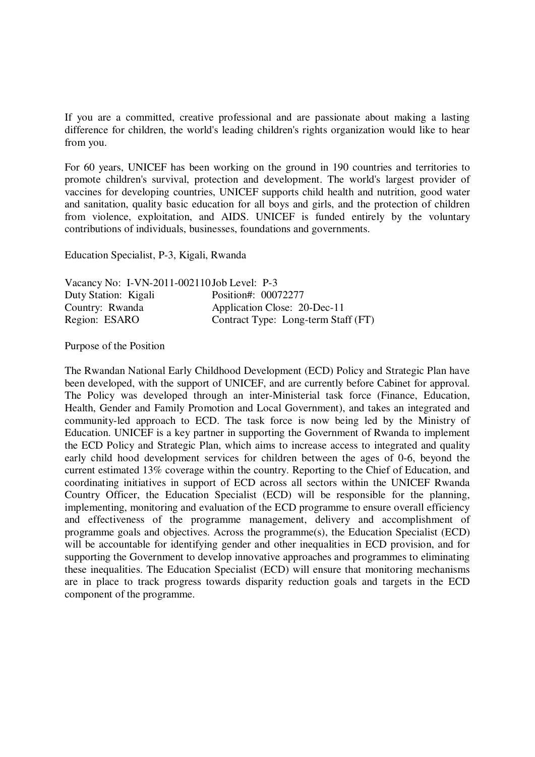If you are a committed, creative professional and are passionate about making a lasting difference for children, the world's leading children's rights organization would like to hear from you.

For 60 years, UNICEF has been working on the ground in 190 countries and territories to promote children's survival, protection and development. The world's largest provider of vaccines for developing countries, UNICEF supports child health and nutrition, good water and sanitation, quality basic education for all boys and girls, and the protection of children from violence, exploitation, and AIDS. UNICEF is funded entirely by the voluntary contributions of individuals, businesses, foundations and governments.

Education Specialist, P-3, Kigali, Rwanda

| Vacancy No: I-VN-2011-002110 Job Level: P-3 |                                     |
|---------------------------------------------|-------------------------------------|
| Duty Station: Kigali                        | Position#: 00072277                 |
| Country: Rwanda                             | Application Close: 20-Dec-11        |
| Region: ESARO                               | Contract Type: Long-term Staff (FT) |

Purpose of the Position

The Rwandan National Early Childhood Development (ECD) Policy and Strategic Plan have been developed, with the support of UNICEF, and are currently before Cabinet for approval. The Policy was developed through an inter-Ministerial task force (Finance, Education, Health, Gender and Family Promotion and Local Government), and takes an integrated and community-led approach to ECD. The task force is now being led by the Ministry of Education. UNICEF is a key partner in supporting the Government of Rwanda to implement the ECD Policy and Strategic Plan, which aims to increase access to integrated and quality early child hood development services for children between the ages of 0-6, beyond the current estimated 13% coverage within the country. Reporting to the Chief of Education, and coordinating initiatives in support of ECD across all sectors within the UNICEF Rwanda Country Officer, the Education Specialist (ECD) will be responsible for the planning, implementing, monitoring and evaluation of the ECD programme to ensure overall efficiency and effectiveness of the programme management, delivery and accomplishment of programme goals and objectives. Across the programme(s), the Education Specialist (ECD) will be accountable for identifying gender and other inequalities in ECD provision, and for supporting the Government to develop innovative approaches and programmes to eliminating these inequalities. The Education Specialist (ECD) will ensure that monitoring mechanisms are in place to track progress towards disparity reduction goals and targets in the ECD component of the programme.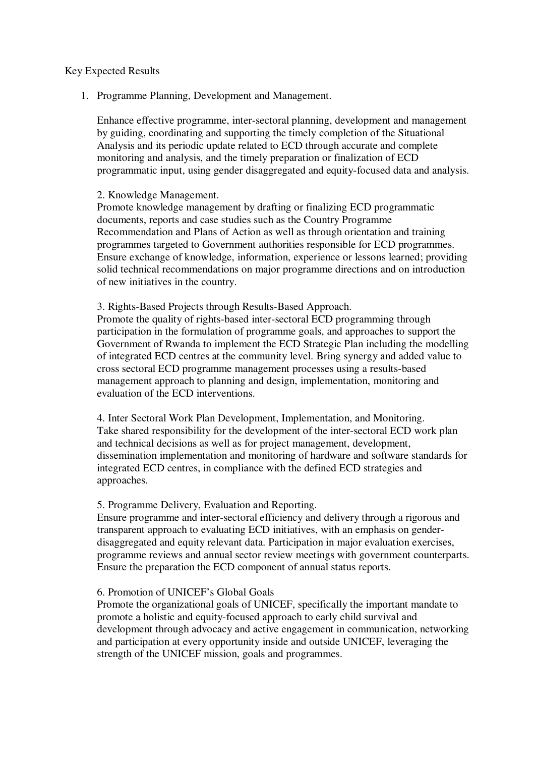### Key Expected Results

1. Programme Planning, Development and Management.

Enhance effective programme, inter-sectoral planning, development and management by guiding, coordinating and supporting the timely completion of the Situational Analysis and its periodic update related to ECD through accurate and complete monitoring and analysis, and the timely preparation or finalization of ECD programmatic input, using gender disaggregated and equity-focused data and analysis.

## 2. Knowledge Management.

Promote knowledge management by drafting or finalizing ECD programmatic documents, reports and case studies such as the Country Programme Recommendation and Plans of Action as well as through orientation and training programmes targeted to Government authorities responsible for ECD programmes. Ensure exchange of knowledge, information, experience or lessons learned; providing solid technical recommendations on major programme directions and on introduction of new initiatives in the country.

#### 3. Rights-Based Projects through Results-Based Approach.

Promote the quality of rights-based inter-sectoral ECD programming through participation in the formulation of programme goals, and approaches to support the Government of Rwanda to implement the ECD Strategic Plan including the modelling of integrated ECD centres at the community level. Bring synergy and added value to cross sectoral ECD programme management processes using a results-based management approach to planning and design, implementation, monitoring and evaluation of the ECD interventions.

4. Inter Sectoral Work Plan Development, Implementation, and Monitoring. Take shared responsibility for the development of the inter-sectoral ECD work plan and technical decisions as well as for project management, development, dissemination implementation and monitoring of hardware and software standards for integrated ECD centres, in compliance with the defined ECD strategies and approaches.

#### 5. Programme Delivery, Evaluation and Reporting.

Ensure programme and inter-sectoral efficiency and delivery through a rigorous and transparent approach to evaluating ECD initiatives, with an emphasis on genderdisaggregated and equity relevant data. Participation in major evaluation exercises, programme reviews and annual sector review meetings with government counterparts. Ensure the preparation the ECD component of annual status reports.

## 6. Promotion of UNICEF's Global Goals

Promote the organizational goals of UNICEF, specifically the important mandate to promote a holistic and equity-focused approach to early child survival and development through advocacy and active engagement in communication, networking and participation at every opportunity inside and outside UNICEF, leveraging the strength of the UNICEF mission, goals and programmes.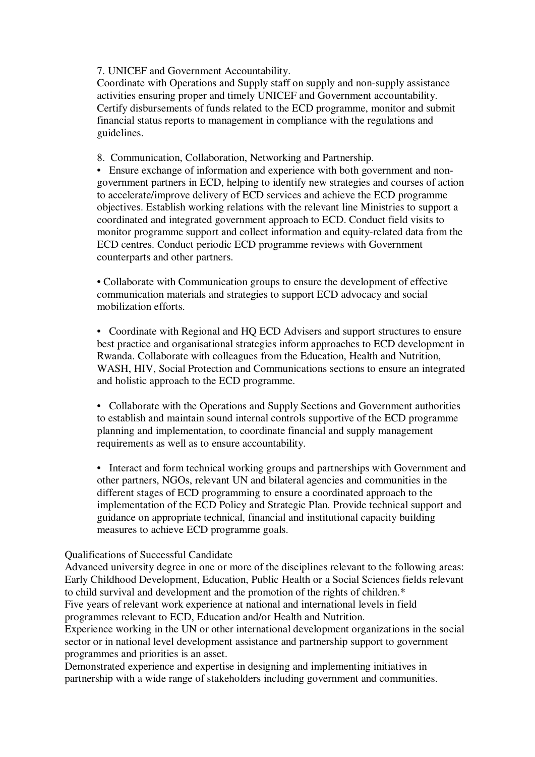7. UNICEF and Government Accountability.

Coordinate with Operations and Supply staff on supply and non-supply assistance activities ensuring proper and timely UNICEF and Government accountability. Certify disbursements of funds related to the ECD programme, monitor and submit financial status reports to management in compliance with the regulations and guidelines.

8. Communication, Collaboration, Networking and Partnership.

• Ensure exchange of information and experience with both government and nongovernment partners in ECD, helping to identify new strategies and courses of action to accelerate/improve delivery of ECD services and achieve the ECD programme objectives. Establish working relations with the relevant line Ministries to support a coordinated and integrated government approach to ECD. Conduct field visits to monitor programme support and collect information and equity-related data from the ECD centres. Conduct periodic ECD programme reviews with Government counterparts and other partners.

• Collaborate with Communication groups to ensure the development of effective communication materials and strategies to support ECD advocacy and social mobilization efforts.

• Coordinate with Regional and HQ ECD Advisers and support structures to ensure best practice and organisational strategies inform approaches to ECD development in Rwanda. Collaborate with colleagues from the Education, Health and Nutrition, WASH, HIV, Social Protection and Communications sections to ensure an integrated and holistic approach to the ECD programme.

• Collaborate with the Operations and Supply Sections and Government authorities to establish and maintain sound internal controls supportive of the ECD programme planning and implementation, to coordinate financial and supply management requirements as well as to ensure accountability.

• Interact and form technical working groups and partnerships with Government and other partners, NGOs, relevant UN and bilateral agencies and communities in the different stages of ECD programming to ensure a coordinated approach to the implementation of the ECD Policy and Strategic Plan. Provide technical support and guidance on appropriate technical, financial and institutional capacity building measures to achieve ECD programme goals.

# Qualifications of Successful Candidate

Advanced university degree in one or more of the disciplines relevant to the following areas: Early Childhood Development, Education, Public Health or a Social Sciences fields relevant to child survival and development and the promotion of the rights of children.\* Five years of relevant work experience at national and international levels in field programmes relevant to ECD, Education and/or Health and Nutrition.

Experience working in the UN or other international development organizations in the social sector or in national level development assistance and partnership support to government programmes and priorities is an asset.

Demonstrated experience and expertise in designing and implementing initiatives in partnership with a wide range of stakeholders including government and communities.